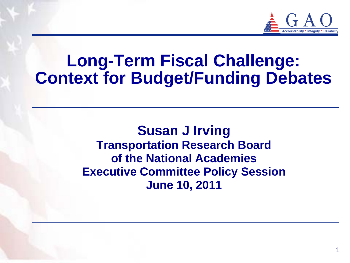

# **Long-Term Fiscal Challenge: Context for Budget/Funding Debates**

**Susan J Irving Transportation Research Board of the National Academies Executive Committee Policy Session June 10, 2011**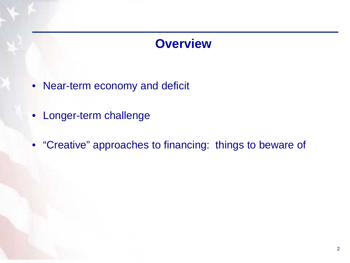### **Overview**

- Near-term economy and deficit
- Longer-term challenge
- "Creative" approaches to financing: things to beware of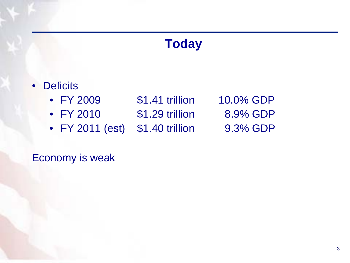### **Today**

- Deficits
	- FY 2009 \$1.41 trillion 10.0% GDP
	- FY 2010 \$1.29 trillion 8.9% GDP
	- FY 2011 (est) \$1.40 trillion 9.3% GDP

Economy is weak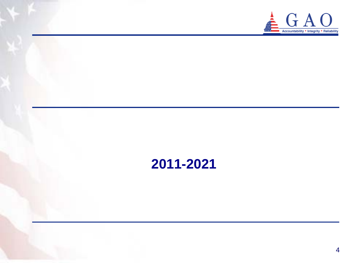

## **2011-2021**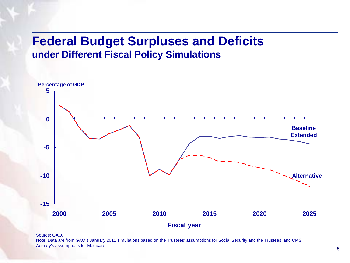### **Federal Budget Surpluses and Deficits under Different Fiscal Policy Simulations**



Source: GAO.

Note: Data are from GAO's January 2011 simulations based on the Trustees' assumptions for Social Security and the Trustees' and CMS Actuary's assumptions for Medicare.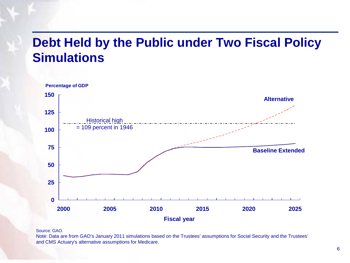## **Debt Held by the Public under Two Fiscal Policy Simulations**



Source: GAO.

Note: Data are from GAO's January 2011 simulations based on the Trustees' assumptions for Social Security and the Trustees' and CMS Actuary's alternative assumptions for Medicare.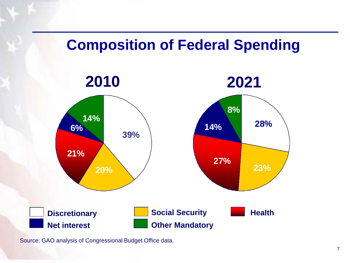

Source: GAO analysis of Congressional Budget Office data.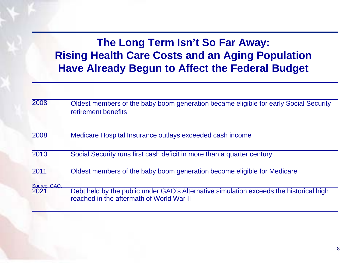**The Long Term Isn't So Far Away: Rising Health Care Costs and an Aging Population Have Already Begun to Affect the Federal Budget** 

| 2008                 | Oldest members of the baby boom generation became eligible for early Social Security<br>retirement benefits                        |
|----------------------|------------------------------------------------------------------------------------------------------------------------------------|
| 2008                 | Medicare Hospital Insurance outlays exceeded cash income                                                                           |
| 2010                 | Social Security runs first cash deficit in more than a quarter century                                                             |
| 2011                 | Oldest members of the baby boom generation become eligible for Medicare                                                            |
| Source: GAO.<br>2021 | Debt held by the public under GAO's Alternative simulation exceeds the historical high<br>reached in the aftermath of World War II |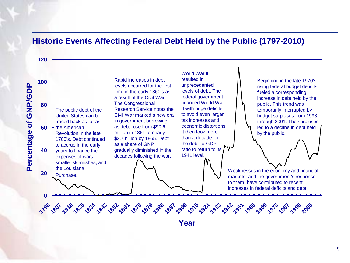### **Historic Events Affecting Federal Debt Held by the Public (1797-2010)**



**Year**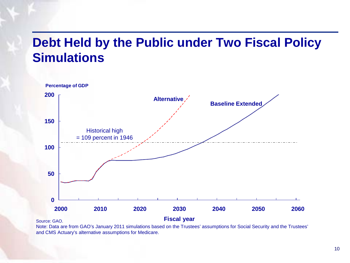## **Debt Held by the Public under Two Fiscal Policy Simulations**



Note: Data are from GAO's January 2011 simulations based on the Trustees' assumptions for Social Security and the Trustees' and CMS Actuary's alternative assumptions for Medicare.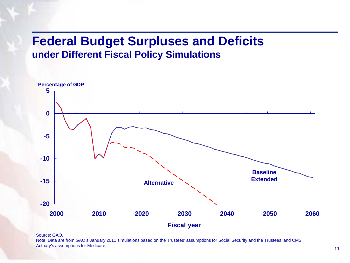### **Federal Budget Surpluses and Deficits under Different Fiscal Policy Simulations**



#### Source: GAO.

Note: Data are from GAO's January 2011 simulations based on the Trustees' assumptions for Social Security and the Trustees' and CMS Actuary's assumptions for Medicare.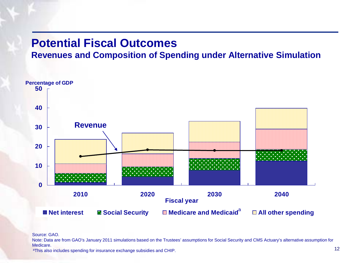### **Potential Fiscal Outcomes**

### **Revenues and Composition of Spending under Alternative Simulation**



Source: GAO.

Note: Data are from GAO's January 2011 simulations based on the Trustees' assumptions for Social Security and CMS Actuary's alternative assumption for Medicare.

aThis also includes spending for insurance exchange subsidies and CHIP.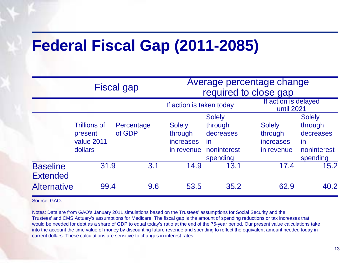# **Federal Fiscal Gap (2011-2085)**

|                                    |                     | <b>Fiscal gap</b> | Average percentage change<br>required to close gap |               |                  |                                    |  |
|------------------------------------|---------------------|-------------------|----------------------------------------------------|---------------|------------------|------------------------------------|--|
|                                    |                     |                   | If action is taken today                           |               |                  | If action is delayed<br>until 2021 |  |
|                                    |                     |                   |                                                    | <b>Solely</b> |                  | <b>Solely</b>                      |  |
|                                    | <b>Trillions of</b> | Percentage        | <b>Solely</b>                                      | through       | <b>Solely</b>    | through                            |  |
|                                    | present             | of GDP            | through                                            | decreases     | through          | decreases                          |  |
|                                    | value 2011          |                   | <i>increases</i>                                   | in            | <i>increases</i> | in                                 |  |
|                                    | dollars             |                   | in revenue                                         | noninterest   | in revenue       | noninterest                        |  |
|                                    |                     |                   |                                                    | spending      |                  | spending                           |  |
| <b>Baseline</b><br><b>Extended</b> | 31.9                | 3.1               | 14.9                                               | 13.1          | 17.4             | 15.2                               |  |
| <b>Alternative</b>                 | 99.4                | 9.6               | 53.5                                               | 35.2          | 62.9             | 40.2                               |  |

Source: GAO.

Notes: Data are from GAO's January 2011 simulations based on the Trustees' assumptions for Social Security and the Trustees' and CMS Actuary's assumptions for Medicare. The fiscal gap is the amount of spending reductions or tax increases that would be needed for debt as a share of GDP to equal today's ratio at the end of the 75-year period. Our present value calculations take into the account the time value of money by discounting future revenue and spending to reflect the equivalent amount needed today in current dollars. These calculations are sensitive to changes in interest rates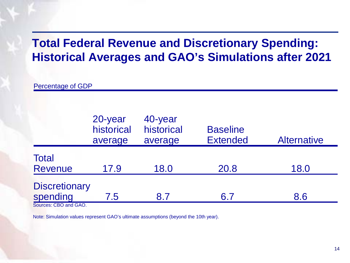### **Total Federal Revenue and Discretionary Spending: Historical Averages and GAO's Simulations after 2021**

Percentage of GDP

|                                  | 20-year<br>historical<br>average | 40-year<br>historical<br>average | <b>Baseline</b><br><b>Extended</b> | <b>Alternative</b> |
|----------------------------------|----------------------------------|----------------------------------|------------------------------------|--------------------|
| <b>Total</b><br><b>Revenue</b>   | 17.9                             | 18.0                             | 20.8                               | 18.0               |
| <b>Discretionary</b><br>spending | 7.5                              | 8.7                              | 6.7                                | 8.6                |

Sources: CBO and GAO.

Note: Simulation values represent GAO's ultimate assumptions (beyond the 10th year).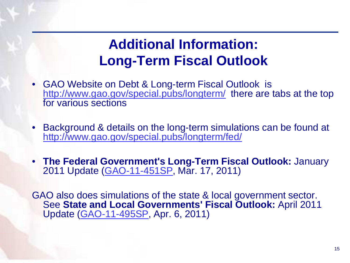# **Additional Information: Long-Term Fiscal Outlook**

- GAO Website on Debt & Long-term Fiscal Outlook is <http://www.gao.gov/special.pubs/longterm/> there are tabs at the top for various sections
- Background & details on the long-term simulations can be found at <http://www.gao.gov/special.pubs/longterm/fed/>
- **The Federal Government's Long-Term Fiscal Outlook:** January 2011 Update [\(GAO-11-451SP,](http://www.gao.gov/new.items/d11451sp.pdf) Mar. 17, 2011)

GAO also does simulations of the state & local government sector. See **State and Local Governments' Fiscal Outlook:** April 2011 Update [\(GAO-11-495SP,](http://www.gao.gov/new.items/d11495sp.pdf) Apr. 6, 2011)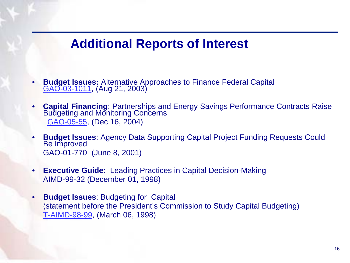### **Additional Reports of Interest**

- **Budget Issues:** Alternative Approaches to Finance Federal Capital [GAO-03-1011,](http://www.gao.gov/new.items/d031011.pdf) (Aug 21, 2003)
- **Capital Financing**: Partnerships and Energy Savings Performance Contracts Raise Budgeting and Monitoring Concerns [GAO-05-55](http://www.gao.gov/new.items/d0555.pdf), (Dec 16, 2004)
- **Budget Issues**: Agency Data Supporting Capital Project Funding Requests Could Be Improved GAO-01-770 (June 8, 2001)
- **Executive Guide:** Leading Practices in Capital Decision-Making AIMD-99-32 (December 01, 1998)
- **Budget Issues**: Budgeting for Capital (statement before the President's Commission to Study Capital Budgeting) [T-AIMD-98-99,](http://archive.gao.gov/t2pbat16/136615.pdf) (March 06, 1998)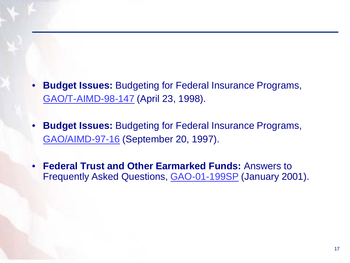- **Budget Issues:** Budgeting for Federal Insurance Programs, [GAO/T-AIMD-98-147](http://www.gao.gov/archive/1998/ai98147t.pdf) (April 23, 1998).
- **Budget Issues:** Budgeting for Federal Insurance Programs, [GAO/AIMD-97-16](http://www.gao.gov/archive/1997/ai97016.pdf) (September 20, 1997).
- **Federal Trust and Other Earmarked Funds:** Answers to Frequently Asked Questions, [GAO-01-199SP](http://www.gao.gov/cgi-bin/getrpt?rptno=gao-01-199sp) (January 2001).